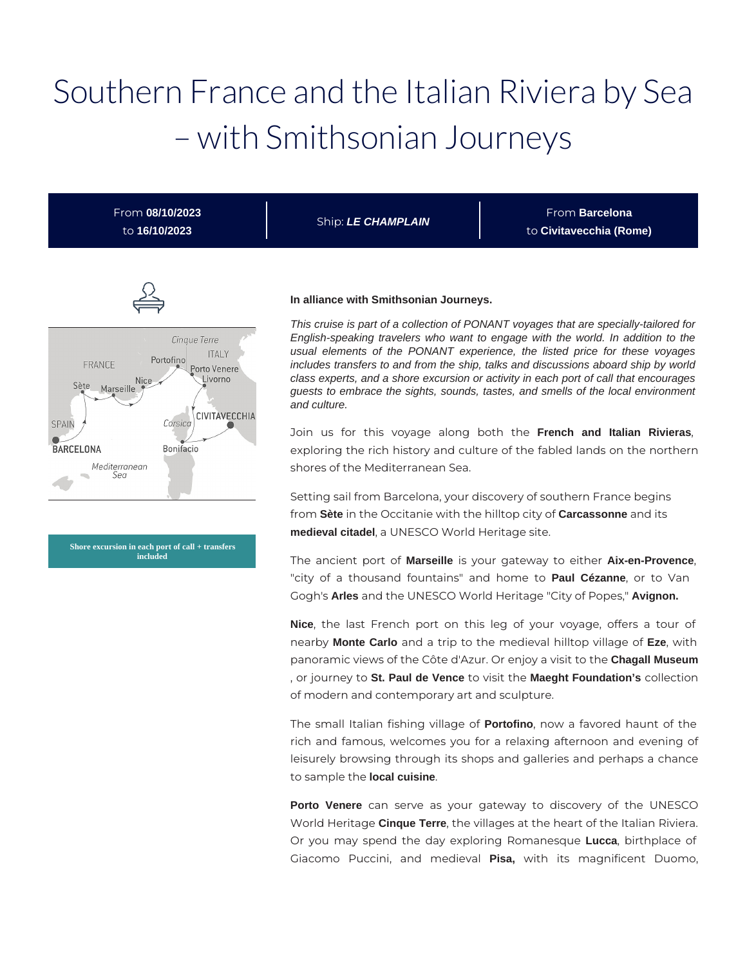# Southern France and the Italian Riviera by Sea – with Smithsonian Journeys

From **08/10/2023** to **16/10/2023**

Ship: **LE CHAMPLAIN**

From **Barcelona** to **Civitavecchia (Rome)**



**Shore excursion in each port of call + transfers included**

#### **In alliance with Smithsonian Journeys.**

This cruise is part of a collection of PONANT voyages that are specially-tailored for English-speaking travelers who want to engage with the world. In addition to the usual elements of the PONANT experience, the listed price for these voyages includes transfers to and from the ship, talks and discussions aboard ship by world class experts, and a shore excursion or activity in each port of call that encourages guests to embrace the sights, sounds, tastes, and smells of the local environment and culture.

Join us for this voyage along both the **French and Italian Rivieras**, exploring the rich history and culture of the fabled lands on the northern shores of the Mediterranean Sea.

Setting sail from Barcelona, your discovery of southern France begins from **Sète** in the Occitanie with the hilltop city of **Carcassonne** and its **medieval citadel**, a UNESCO World Heritage site.

The ancient port of **Marseille** is your gateway to either **Aix-en-Provence**, "city of a thousand fountains" and home to **Paul Cézanne**, or to Van Gogh's **Arles** and the UNESCO World Heritage "City of Popes," **Avignon.**

**Nice**, the last French port on this leg of your voyage, offers a tour of nearby **Monte Carlo** and a trip to the medieval hilltop village of **Eze**, with panoramic views of the Côte d'Azur. Or enjoy a visit to the **Chagall Museum** , or journey to **St. Paul de Vence** to visit the **Maeght Foundation's** collection of modern and contemporary art and sculpture.

The small Italian fishing village of **Portofino**, now a favored haunt of the rich and famous, welcomes you for a relaxing afternoon and evening of leisurely browsing through its shops and galleries and perhaps a chance to sample the **local cuisine**.

**Porto Venere** can serve as your gateway to discovery of the UNESCO World Heritage **Cinque Terre**, the villages at the heart of the Italian Riviera. Or you may spend the day exploring Romanesque **Lucca**, birthplace of Giacomo Puccini, and medieval **Pisa,** with its magnificent Duomo,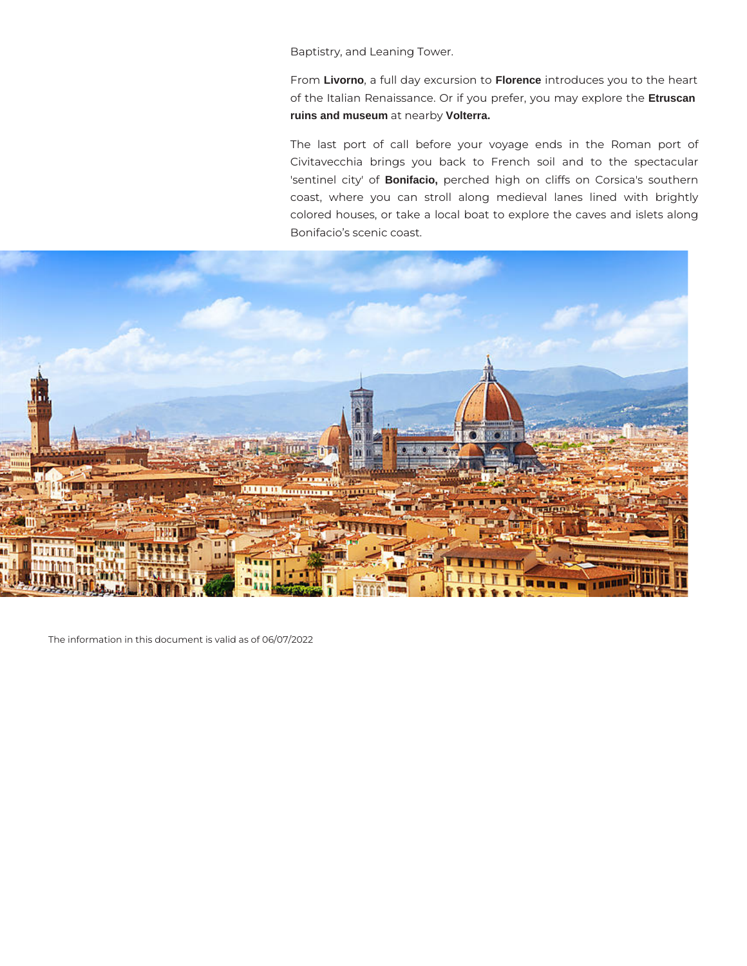Baptistry, and Leaning Tower.

From **Livorno**, a full day excursion to **Florence** introduces you to the heart of the Italian Renaissance. Or if you prefer, you may explore the **Etruscan ruins and museum** at nearby **Volterra.**

The last port of call before your voyage ends in the Roman port of Civitavecchia brings you back to French soil and to the spectacular 'sentinel city' of **Bonifacio,** perched high on cliffs on Corsica's southern coast, where you can stroll along medieval lanes lined with brightly colored houses, or take a local boat to explore the caves and islets along Bonifacio's scenic coast.



The information in this document is valid as of 06/07/2022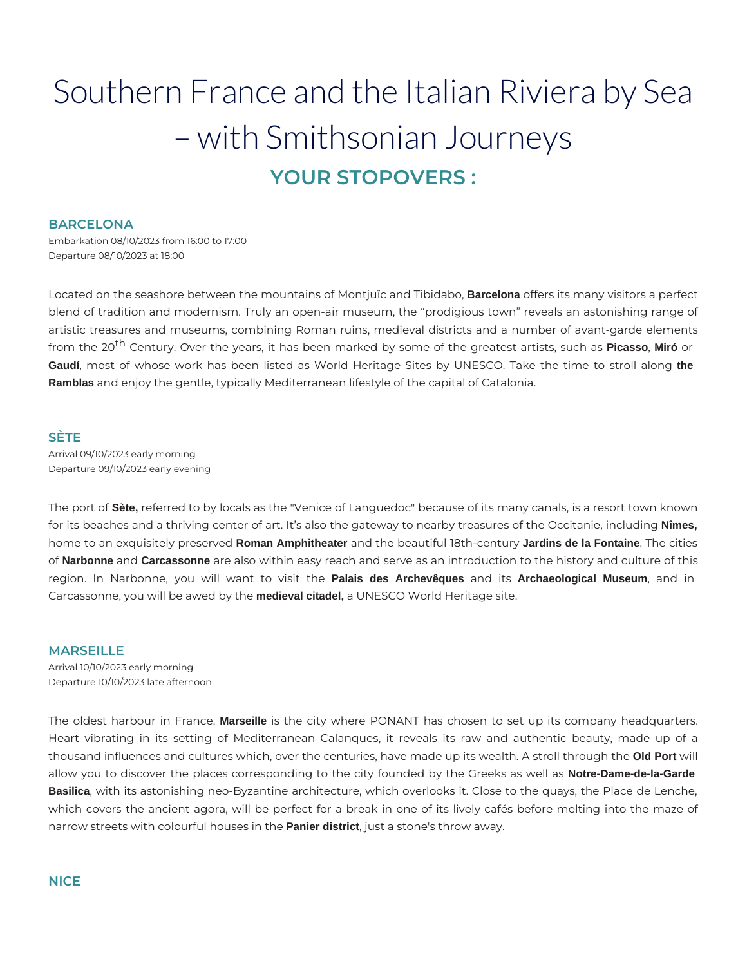# Southern France and the Italian Riviera by Sea – with Smithsonian Journeys **YOUR STOPOVERS :**

#### **BARCELONA**

Embarkation 08/10/2023 from 16:00 to 17:00 Departure 08/10/2023 at 18:00

Located on the seashore between the mountains of Montjuïc and Tibidabo, **Barcelona** offers its many visitors a perfect blend of tradition and modernism. Truly an open-air museum, the "prodigious town" reveals an astonishing range of artistic treasures and museums, combining Roman ruins, medieval districts and a number of avant-garde elements from the 20th Century. Over the years, it has been marked by some of the greatest artists, such as **Picasso**, **Miró** or **Gaudí**, most of whose work has been listed as World Heritage Sites by UNESCO. Take the time to stroll along **the Ramblas** and enjoy the gentle, typically Mediterranean lifestyle of the capital of Catalonia.

#### **SÈTE**

Arrival 09/10/2023 early morning Departure 09/10/2023 early evening

The port of **Sète,** referred to by locals as the "Venice of Languedoc" because of its many canals, is a resort town known for its beaches and a thriving center of art. It's also the gateway to nearby treasures of the Occitanie, including **Nîmes,** home to an exquisitely preserved **Roman Amphitheater** and the beautiful 18th-century **Jardins de la Fontaine**. The cities of **Narbonne** and **Carcassonne** are also within easy reach and serve as an introduction to the history and culture of this region. In Narbonne, you will want to visit the **Palais des Archevêques** and its **Archaeological Museum**, and in Carcassonne, you will be awed by the **medieval citadel,** a UNESCO World Heritage site.

#### **MARSEILLE**

Arrival 10/10/2023 early morning Departure 10/10/2023 late afternoon

The oldest harbour in France, **Marseille** is the city where PONANT has chosen to set up its company headquarters. Heart vibrating in its setting of Mediterranean Calanques, it reveals its raw and authentic beauty, made up of a thousand influences and cultures which, over the centuries, have made up its wealth. A stroll through the **Old Port** will allow you to discover the places corresponding to the city founded by the Greeks as well as **Notre-Dame-de-la-Garde Basilica**, with its astonishing neo-Byzantine architecture, which overlooks it. Close to the quays, the Place de Lenche, which covers the ancient agora, will be perfect for a break in one of its lively cafés before melting into the maze of narrow streets with colourful houses in the **Panier district**, just a stone's throw away.

#### **NICE**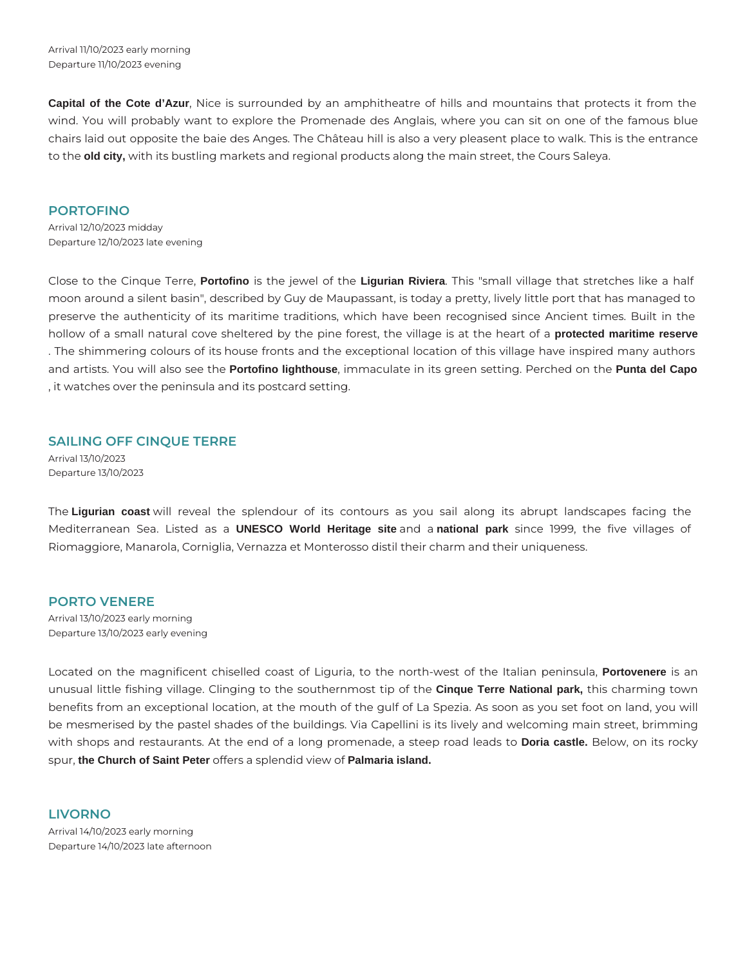Arrival 11/10/2023 early morning Departure 11/10/2023 evening

**Capital of the Cote d'Azur**, Nice is surrounded by an amphitheatre of hills and mountains that protects it from the wind. You will probably want to explore the Promenade des Anglais, where you can sit on one of the famous blue chairs laid out opposite the baie des Anges. The Château hill is also a very pleasent place to walk. This is the entrance to the **old city,** with its bustling markets and regional products along the main street, the Cours Saleya.

#### **PORTOFINO**

Arrival 12/10/2023 midday Departure 12/10/2023 late evening

Close to the Cinque Terre, **Portofino** is the jewel of the **Ligurian Riviera**. This "small village that stretches like a half moon around a silent basin", described by Guy de Maupassant, is today a pretty, lively little port that has managed to preserve the authenticity of its maritime traditions, which have been recognised since Ancient times. Built in the hollow of a small natural cove sheltered by the pine forest, the village is at the heart of a **protected maritime reserve** . The shimmering colours of its house fronts and the exceptional location of this village have inspired many authors and artists. You will also see the **Portofino lighthouse**, immaculate in its green setting. Perched on the **Punta del Capo** , it watches over the peninsula and its postcard setting.

#### **SAILING OFF CINQUE TERRE**

Arrival 13/10/2023 Departure 13/10/2023

The **Ligurian coast** will reveal the splendour of its contours as you sail along its abrupt landscapes facing the Mediterranean Sea. Listed as a **UNESCO World Heritage site** and a **national park** since 1999, the five villages of Riomaggiore, Manarola, Corniglia, Vernazza et Monterosso distil their charm and their uniqueness.

#### **PORTO VENERE**

Arrival 13/10/2023 early morning Departure 13/10/2023 early evening

Located on the magnificent chiselled coast of Liguria, to the north-west of the Italian peninsula, **Portovenere** is an unusual little fishing village. Clinging to the southernmost tip of the **Cinque Terre National park,** this charming town benefits from an exceptional location, at the mouth of the gulf of La Spezia. As soon as you set foot on land, you will be mesmerised by the pastel shades of the buildings. Via Capellini is its lively and welcoming main street, brimming with shops and restaurants. At the end of a long promenade, a steep road leads to **Doria castle.** Below, on its rocky spur, **the Church of Saint Peter** offers a splendid view of **Palmaria island.**

## **LIVORNO**

Arrival 14/10/2023 early morning Departure 14/10/2023 late afternoon